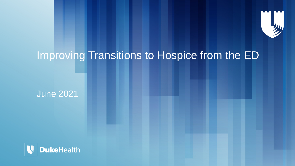

# Improving Transitions to Hospice from the ED

June 2021

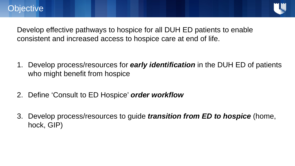

Develop effective pathways to hospice for all DUH ED patients to enable consistent and increased access to hospice care at end of life.

- 1. Develop process/resources for *early identification* in the DUH ED of patients who might benefit from hospice
- 2. Define 'Consult to ED Hospice' *order workflow*
- 3. Develop process/resources to guide *transition from ED to hospice* (home, hock, GIP)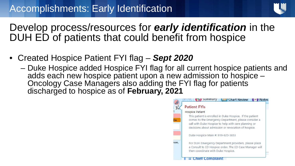

## Develop process/resources for *early identification* in the DUH ED of patients that could benefit from hospice

- Created Hospice Patient FYI flag *Sept 2020*
	- Duke Hospice added Hospice FYI flag for all current hospice patients and adds each new hospice patient upon a new admission to hospice Oncology Case Managers also adding the FYI flag for patients discharged to hospice as of **February, 2021**

|       | Chart Review                                                                                                                                                                                                                    |
|-------|---------------------------------------------------------------------------------------------------------------------------------------------------------------------------------------------------------------------------------|
| $V^3$ | <b>Patient FYIs</b>                                                                                                                                                                                                             |
|       | <b>Hospice Patient</b>                                                                                                                                                                                                          |
| Yes   | This patient is enrolled in Duke Hospice. If the patient<br>comes to the Emergency Department, please consider a<br>call with Duke Hospice to help with care planning or<br>decisions about admission or revocation of hospice. |
|       | Duke Hospice Main #: 919-620-3853                                                                                                                                                                                               |
| ean.  | For DUH Emergency Department providers, please place<br>a Consult to ED Hospice order. The ED Case Manager will<br>then coordinate with Duke Hospice.                                                                           |
|       | <b>Compla</b>                                                                                                                                                                                                                   |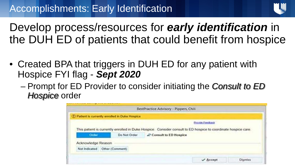

Develop process/resources for *early identification* in the DUH ED of patients that could benefit from hospice

- Created BPA that triggers in DUH ED for any patient with Hospice FYI flag - *Sept 2020*
	- Prompt for ED Provider to consider initiating the *Consult to ED Hospice* order

|                                                 |              | BestPractice Advisory - Pippers, Chili                                                                         |  |  |  |
|-------------------------------------------------|--------------|----------------------------------------------------------------------------------------------------------------|--|--|--|
| 1 Patient is currently enrolled in Duke Hospice |              |                                                                                                                |  |  |  |
|                                                 |              | <b>Erayon Feedback</b>                                                                                         |  |  |  |
|                                                 |              | This patient is currently enrolled in Duke Hospice. Consider consult to ED hospice to coordinate hospice care. |  |  |  |
| Order:                                          | Do Not Order | Consult to ED Hospice                                                                                          |  |  |  |
| Acknowledge Reason                              |              |                                                                                                                |  |  |  |
|                                                 |              |                                                                                                                |  |  |  |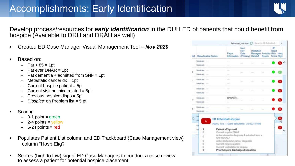

Develop process/resources for *early identification* in the DUH ED of patients that could benefit from hospice (Available to DRH and DRAH as well)

- Created ED Case Manager Visual Management Tool *Nov 2020*
- Based on:
	- $-$  Pat >  $85 = 1$ pt
	- $-$  Pat ever DNAR = 1pt
	- $-$  Pat dementia + admitted from SNF = 1pt
	- $-$  Metastatic cancer  $dx = 1$ pt
	- $-$  Current hospice patient  $=$  5pt
	- $-$  Current visit hospice related  $=$  5pt
	- Previous hospice dispo = 5pt
	- *'Hospice'* on Problem list = 5 pt
- **Scoring** 
	- $-$  0-1 point = green
	- $-$  2-4 points = yellow
	- $-$  5-24 points = red
- Populates Patient List column and ED Trackboard (Case Management view) column "Hosp Elig?"
- Scores (high to low) signal ED Case Managers to conduct a case review to assess a patient for potential hospice placement

|     | <b>Reportication Status</b>                                                                                                                | Payan<br><b>Information</b>                                                                                                               | Martt<br><b>Flaw</b><br>Oute<br>(Primary) | UNEration<br>Manager: Avoidabl Risk Hosp<br><b>Handoff</b> | Events : | œ<br>Elegati<br>Score Eliza |  |  |
|-----|--------------------------------------------------------------------------------------------------------------------------------------------|-------------------------------------------------------------------------------------------------------------------------------------------|-------------------------------------------|------------------------------------------------------------|----------|-----------------------------|--|--|
|     | Medicane<br>Made art                                                                                                                       | <b>Text</b>                                                                                                                               |                                           |                                                            |          |                             |  |  |
| g.  | Medicale: -<br>Medicant: -                                                                                                                 | ilim i                                                                                                                                    |                                           |                                                            |          |                             |  |  |
| in. | Medicant: -<br>Medical Corp.                                                                                                               |                                                                                                                                           |                                           |                                                            |          |                             |  |  |
|     | Medicans:<br>Medicald: -                                                                                                                   |                                                                                                                                           |                                           |                                                            |          |                             |  |  |
| ø.  | Medicant:<br><b>Contract</b><br>Medicald:<br><b>County</b>                                                                                 | RAMOFR                                                                                                                                    |                                           |                                                            |          |                             |  |  |
| ø.  | Medicant:<br>Medicald                                                                                                                      | <b>CONTRACTOR</b>                                                                                                                         |                                           |                                                            |          |                             |  |  |
| 10  | Шí<br><b>M</b><br>6<br>M                                                                                                                   | <b>ED Potential Hospice</b><br>Hayes, Two - Stone calculated: 1/8/2021 01:08                                                              |                                           |                                                            |          |                             |  |  |
|     | Patient >85 yrs old<br>1<br>ы<br>Current or prior DNAR<br>a.<br>Active dementia diagnosis & admitted from a<br>ī.<br>ö<br><b>SNEIGFALF</b> |                                                                                                                                           |                                           |                                                            |          |                             |  |  |
|     | ٠<br>Ø.<br>I)<br>ğ,                                                                                                                        | Active mistastatic cancer diagnosis<br>Current hospics patient<br>Current visit related to hospice<br>Prior hospice discharge disposition |                                           |                                                            |          |                             |  |  |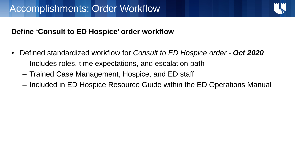

### **Define 'Consult to ED Hospice' order workflow**

- Defined standardized workflow for *Consult to ED Hospice order Oct 2020* 
	- Includes roles, time expectations, and escalation path
	- Trained Case Management, Hospice, and ED staff
	- Included in ED Hospice Resource Guide within the ED Operations Manual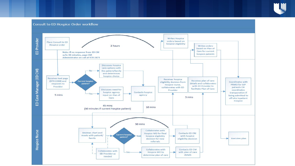

#### **Consult to ED Hospice Order workflow**